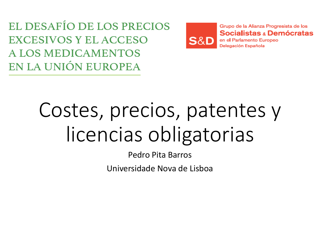EL DESAFÍO DE LOS PRECIOS **EXCESIVOS Y EL ACCESO** A LOS MEDICAMENTOS EN LA UNIÓN EUROPEA



Grupo de la Alianza Progresista de los Socialistas « Demócratas

en el Parlamento Europeo Delegación Española

# Costes, precios precios, patentes y licencias obligatorias

Pedro Pita Barros

Universidade Nova de Lisboa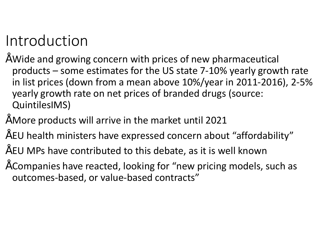# Introduction

- Wide and growing concern with prices of new pharmaceutical products – some estimates for the US state 7 7-10% yearly growth rate in list prices (down from a mean above 10%/year in 2011 2011-2016), 2-5% yearly growth rate on net prices of branded drugs (source: QuintilesIMS)
- More products will arrive in the market until 2021
- EU health ministers have expressed concern about "affordability"
- EU MPs have contributed to this debate, as it is well known
- Companies have reacted, looking for " new pricing models, such as outcomes-based, or value-based contracts"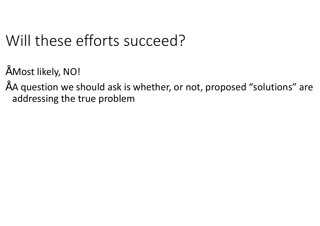# Will these efforts succeed?

- Most likely, NO!
- A question we should ask is whether, or not, proposed "solutions" are addressing the true problem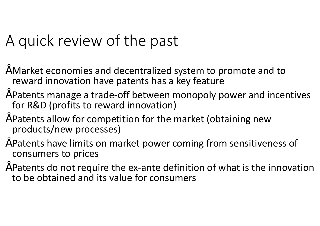## A quick review of the past

- Market economies and decentralized system to promote and to reward innovation have patents has a key feature
- Patents manage a trade-off between monopoly power and incentives for R&D (profits to reward innovation)
- Patents allow for competition for the market (obtaining new products/new processes)
- Patents have limits on market power coming from sensitiveness of consumers to prices Frace of the ex-ante of power and incentives<br>
for R&D (profits to reward innovation)<br>
Fracents allow for competition for the market (obtaining new<br>
products/new processes)<br>
Fracents have limits on market power coming from
- to be obtained and its value for consumers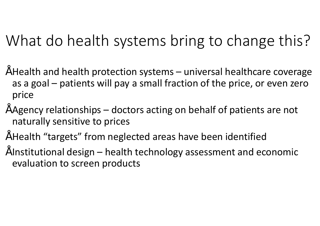## What do health systems bring to change this?

- $\degree$  Health and health protection systems  $-$  universal healthcare coverage as a goal – patients will pay a small fraction of the price, or even zero price
- $\tilde{ }$  Agency relationships doctors acting on behalf of patients are not naturally sensitive to prices
- Health "targets" from neglected areas have been identified
- $\tilde{a}$  Institutional design health technology assessment and economic evaluation to screen products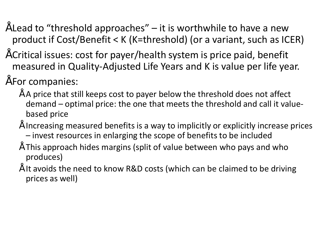- $\tilde{ }$  Lead to "threshold approaches" it is worthwhile to have a new product if Cost/Benefit < K (K=threshold) (or a variant, such as ICER)
- Critical issues: cost for payer/health system is price paid, benefit measured in Quality-Adjusted Life Years and K is value per life year.
- For companies:
- $\tilde{ }$  A price that still keeps cost to payer below the threshold does not affect demand – optimal price: the one that meets the threshold and call it value based price Adjusted Life Years and K is value per life year.<br>s cost to payer below the threshold does not affect<br>ice: the one that meets the threshold and call it value-
	- Increasing measured benefits is a way to implicitly or explicitly increase prices – invest resources in enlarging the scope of benefits to be included
	- This approach hides margins (split of value between who pays and who produces)
	- It avoids the need to know R&D costs (which can be claimed to be driving prices as well)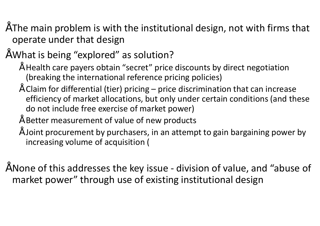- $\tilde{ }$  The main problem is with the institutional design, not with firms that operate under that design
- What is being "explored" as solution?
	- Health care payers obtain "secret" price discounts by direct negotiation (breaking the international reference pricing policies)
	- $\degree$  Claim for differential (tier) pricing price discrimination that can increase efficiency of market allocations, but only under certain conditions (and these do not include free exercise of market power)
	- Better measurement of value of new products
	- Joint procurement by purchasers, in an attempt to gain bargaining power by increasing volume of acquisition (
- None of this addresses the key issue division of value, and "abuse of market power" through use of existing institutional design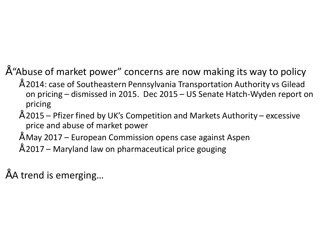#### • "Abuse of market power" concerns are now making its way to policy

- 2014: case of Southeastern Pennsylvania Transportation Authority vs Gilead on pricing – dismissed in 2015. Dec 2015 – US Senate Hatch-Wyden report on pricing
- $\degree$  2015 Pfizer fined by UK's Competition and Markets Authority excessive price and abuse of market power
- $\degree$  May 2017 European Commission opens case against Aspen
- $"$  2017 Maryland law on pharmaceutical price gouging

• A trend is emerging…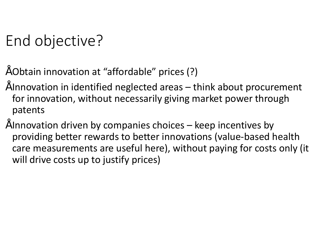# End objective?

- Obtain innovation at "affordable" prices (?)
- $\tilde{ }$  Innovation in identified neglected areas  $-$  think about procurement for innovation, without necessarily giving market power through patents
- $\tilde{ }$  Innovation driven by companies choices  $-$  keep incentives by providing better rewards to better innovations (value-based health care measurements are useful here), without paying for costs only (it will drive costs up to justify prices)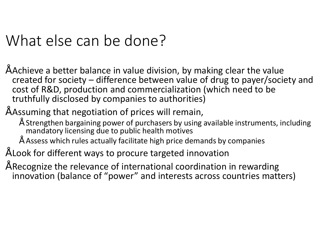## What else can be done?

- Achieve a better balance in value division, by making clear the value created for society – difference between value of drug to payer/society and cost of R&D, production and commercialization (which need to be truthfully disclosed by companies to authorities)
- Assuming that negotiation of prices will remain,
	- Strengthen bargaining power of purchasers by using available instruments, including mandatory licensing due to public health motives
	- Assess which rules actually facilitate high price demands by companies
- Look for different ways to procure targeted innovation
- Recognize the relevance of international coordination in rewarding innovation (balance of "power" and interests across countries matters)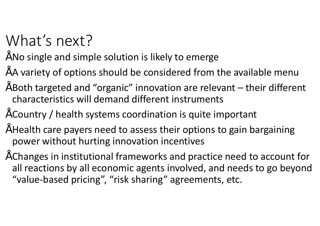# What's next?

#### • No single and simple solution is likely to emerge

- A variety of options should be considered from the available menu
- $\tilde{ }$  Both targeted and "organic" innovation are relevant  $-$  their different characteristics will demand different instruments
- Country / health systems coordination is quite important
- Health care payers need to assess their options to gain bargaining power without hurting innovation incentives
- Changes in institutional frameworks and practice need to account for all reactions by all economic agents involved, and needs to go beyond "value-based pricing", "risk sharing" agreements, etc.